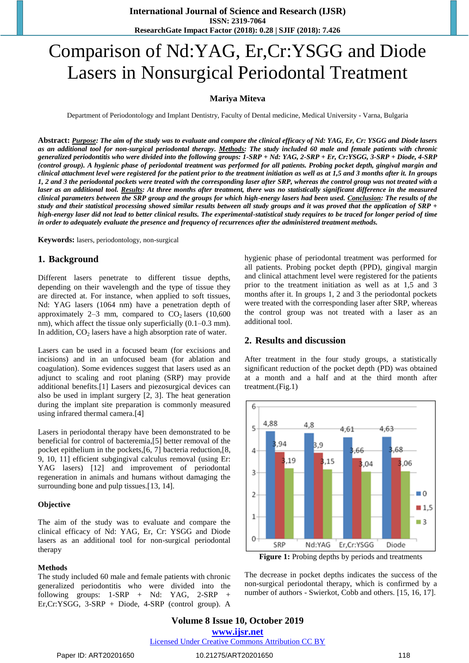# Comparison of Nd:YAG, Er,Cr:YSGG and Diode Lasers in Nonsurgical Periodontal Treatment

#### **Mariya Miteva**

Department of Periodontology and Implant Dentistry, Faculty of Dental medicine, Medical University - Varna, Bulgaria

**Abstract:** *Purpose: The aim of the study was to evaluate and compare the clinical efficacy of Nd: YAG, Er, Cr: YSGG and Diode lasers as an additional tool for non-surgical periodontal therapy. Methods: The study included 60 male and female patients with chronic generalized periodontitis who were divided into the following groups: 1-SRP + Nd: YAG, 2-SRP + Er, Cr:YSGG, 3-SRP + Diode, 4-SRP (control group). A hygienic phase of periodontal treatment was performed for all patients. Probing pocket depth, gingival margin and clinical attachment level were registered for the patient prior to the treatment initiation as well as at 1,5 and 3 months after it. In groups 1, 2 and 3 the periodontal pockets were treated with the corresponding laser after SRP, whereas the control group was not treated with a laser as an additional tool. Results: At three months after treatment, there was no statistically significant difference in the measured clinical parameters between the SRP group and the groups for which high-energy lasers had been used. Conclusion: The results of the study and their statistical processing showed similar results between all study groups and it was proved that the application of SRP + high-energy laser did not lead to better clinical results. The experimental-statistical study requires to be traced for longer period of time in order to adequately evaluate the presence and frequency of recurrences after the administered treatment methods.*

**Keywords:** lasers, periodontology, non-surgical

#### **1. Background**

Different lasers penetrate to different tissue depths, depending on their wavelength and the type of tissue they are directed at. For instance, when applied to soft tissues, Nd: YAG lasers (1064 nm) have a penetration depth of approximately 2–3 mm, compared to  $CO<sub>2</sub>$  lasers (10,600) nm), which affect the tissue only superficially (0.1–0.3 mm). In addition,  $CO<sub>2</sub>$  lasers have a high absorption rate of water.

Lasers can be used in a focused beam (for excisions and incisions) and in an unfocused beam (for ablation and coagulation). Some evidences suggest that lasers used as an adjunct to scaling and root planing (SRP) may provide additional benefits.[1] Lasers and piezosurgical devices can also be used in implant surgery [2, 3]. The heat generation during the implant site preparation is commonly measured using infrared thermal camera.[4]

Lasers in periodontal therapy have been demonstrated to be beneficial for control of bacteremia,[5] better removal of the pocket epithelium in the pockets,[6, 7] bacteria reduction,[8, 9, 10, 11] efficient subgingival calculus removal (using Er: YAG lasers) [12] and improvement of periodontal regeneration in animals and humans without damaging the surrounding bone and pulp tissues.[13, 14].

#### **Objective**

The aim of the study was to evaluate and compare the clinical efficacy of Nd: YAG, Er, Cr: YSGG and Diode lasers as an additional tool for non-surgical periodontal therapy

#### **Methods**

The study included 60 male and female patients with chronic generalized periodontitis who were divided into the following groups: 1-SRP + Nd: YAG, 2-SRP + Er,Cr:YSGG, 3-SRP + Diode, 4-SRP (control group). A hygienic phase of periodontal treatment was performed for all patients. Probing pocket depth (PPD), gingival margin and clinical attachment level were registered for the patients prior to the treatment initiation as well as at 1,5 and 3 months after it. In groups 1, 2 and 3 the periodontal pockets were treated with the corresponding laser after SRP, whereas the control group was not treated with a laser as an additional tool.

#### **2. Results and discussion**

After treatment in the four study groups, a statistically significant reduction of the pocket depth (PD) was obtained at a month and a half and at the third month after treatment.(Fig.1)



**Figure 1:** Probing depths by periods and treatments

The decrease in pocket depths indicates the success of the non-surgical periodontal therapy, which is confirmed by a number of authors - Swierkot, Cobb and others. [15, 16, 17].

# **Volume 8 Issue 10, October 2019 www.ijsr.net**

Licensed Under Creative Commons Attribution CC BY

#### Paper ID: ART20201650 118 10.21275/ART20201650 10.21275/ART20201650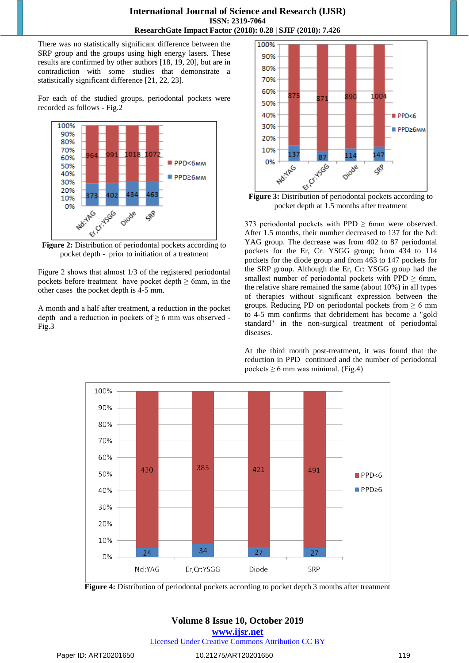#### **International Journal of Science and Research (IJSR) ISSN: 2319-7064 ResearchGate Impact Factor (2018): 0.28 | SJIF (2018): 7.426**

There was no statistically significant difference between the SRP group and the groups using high energy lasers. These results are confirmed by other authors [18, 19, 20], but are in contradiction with some studies that demonstrate a statistically significant difference [21, 22, 23].

For each of the studied groups, periodontal pockets were recorded as follows - Fig.2



pocket depth - prior to initiation of a treatment

Figure 2 shows that almost 1/3 of the registered periodontal pockets before treatment have pocket depth  $\geq 6$ mm, in the other cases the pocket depth is 4-5 mm.

A month and a half after treatment, a reduction in the pocket depth and a reduction in pockets of  $\geq 6$  mm was observed -Fig.3



pocket depth at 1.5 months after treatment

373 periodontal pockets with PPD  $\geq$  6mm were observed. After 1.5 months, their number decreased to 137 for the Nd: YAG group. The decrease was from 402 to 87 periodontal pockets for the Er, Cr: YSGG group; from 434 to 114 pockets for the diode group and from 463 to 147 pockets for the SRP group. Although the Er, Cr: YSGG group had the smallest number of periodontal pockets with PPD  $\geq$  6mm, the relative share remained the same (about 10%) in all types of therapies without significant expression between the groups. Reducing PD on periodontal pockets from  $\geq 6$  mm to 4-5 mm confirms that debridement has become a "gold standard" in the non-surgical treatment of periodontal diseases.

At the third month post-treatment, it was found that the reduction in PPD continued and the number of periodontal pockets  $\geq 6$  mm was minimal. (Fig.4)



**Figure 4:** Distribution of periodontal pockets according to pocket depth 3 months after treatment

# **Volume 8 Issue 10, October 2019**

**www.ijsr.net**

Licensed Under Creative Commons Attribution CC BY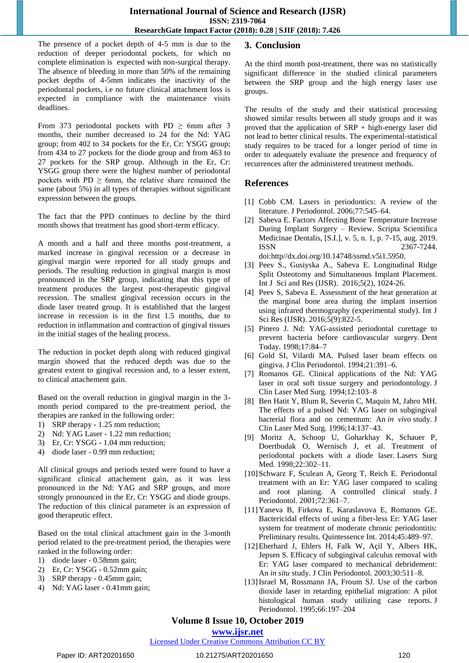The presence of a pocket depth of 4-5 mm is due to the reduction of deeper periodontal pockets, for which no complete elimination is expected with non-surgical therapy. The absence of bleeding in more than 50% of the remaining pocket depths of 4-5mm indicates the inactivity of the periodontal pockets, i.e no future clinical attachment loss is expected in compliance with the maintenance visits deadlines.

From 373 periodontal pockets with PD  $\geq$  6mm after 3 months, their number decreased to 24 for the Nd: YAG group; from 402 to 34 pockets for the Er, Cr: YSGG group; from 434 to 27 pockets for the diode group and from 463 to 27 pockets for the SRP group. Although in the Er, Cr: YSGG group there were the highest number of periodontal pockets with PD  $\geq$  6mm, the relative share remained the same (about 5%) in all types of therapies without significant expression between the groups.

The fact that the PPD continues to decline by the third month shows that treatment has good short-term efficacy.

A month and a half and three months post-treatment, a marked increase in gingival recession or a decrease in gingival margin were reported for all study groups and periods. The resulting reduction in gingival margin is most pronounced in the SRP group, indicating that this type of treatment produces the largest post-therapeutic gingival recession. The smallest gingival recession occurs in the diode laser treated group. It is established that the largest increase in recession is in the first 1.5 months, due to reduction in inflammation and contraction of gingival tissues in the initial stages of the healing process.

The reduction in pocket depth along with reduced gingival margin showed that the reduced depth was due to the greatest extent to gingival recession and, to a lesser extent, to clinical attachement gain.

Based on the overall reduction in gingival margin in the 3 month period compared to the pre-treatment period, the therapies are ranked in the following order:

- 1) SRP therapy 1.25 mm reduction;
- 2) Nd: YAG Laser 1.22 mm reduction;
- 3) Er, Cr: YSGG 1.04 mm reduction;
- 4) diode laser 0.99 mm reduction;

All clinical groups and periods tested were found to have a significant clinical attachement gain, as it was less pronounced in the Nd: YAG and SRP groups, and more strongly pronounced in the Er, Cr: YSGG and diode groups. The reduction of this clinical parameter is an expression of good therapeutic effect.

Based on the total clinical attachment gain in the 3-month period related to the pre-treatment period, the therapies were ranked in the following order:

- 1) diode laser 0.58mm gain;
- 2) Er, Cr: YSGG 0.52mm gain;
- 3) SRP therapy 0.45mm gain;
- 4) Nd: YAG laser 0.41mm gain;

### **3. Conclusion**

At the third month post-treatment, there was no statistically significant difference in the studied clinical parameters between the SRP group and the high energy laser use groups.

The results of the study and their statistical processing showed similar results between all study groups and it was proved that the application of SRP + high-energy laser did not lead to better clinical results. The experimental-statistical study requires to be traced for a longer period of time in order to adequately evaluate the presence and frequency of recurrences after the administered treatment methods.

### **References**

- [1] Cobb CM. Lasers in periodontics: A review of the literature. J Periodontol. 2006;77:545–64.
- [2] Sabeva E. Factors Affecting Bone Temperature Increase During Implant Surgery – Review. Scripta Scientifica Medicinae Dentalis, [S.I.], v. 5, n. 1, p. 7-15, aug. 2019. ISSN 2367-7244. doi:http//dx.doi.org/10.14748/ssmd.v5i1.5950.
- [3] Peev S., Gusiyska A., Sabeva E. Longitudinal Ridge Split Osteotomy and Simultaneous Implant Placement. Int J Sci and Res (IJSR). 2016;5(2), 1024-26.
- [4] Peev S, Sabeva E. Assessment of the heat generation at the marginal bone area during the implant insertion using infrared thermography (experimental study). Int J Sci Res (IJSR). 2016;5(9):822-5.
- [5] Pinero J. Nd: YAG-assisted periodontal curettage to prevent bacteria before cardiovascular surgery. Dent Today. 1998;17:84–7
- [6] Gold SI, Vilardi MA. Pulsed laser beam effects on gingiva. J Clin Periodontol. 1994;21:391–6.
- [7] Romanos GE. Clinical applications of the Nd: YAG laser in oral soft tissue surgery and periodontology. J Clin Laser Med Surg. 1994;12:103–8
- [8] Ben Hatit Y, Blum R, Severin C, Maquin M, Jabro MH. The effects of a pulsed Nd: YAG laser on subgingival bacterial flora and on cementum: An *in vivo* study. J Clin Laser Med Surg. 1996;14:137–43.
- [9] Moritz A, Schoop U, Goharkhay K, Schauer P, Doertbudak O, Wernisch J, et al. Treatment of periodontal pockets with a diode laser. Lasers Surg Med. 1998;22:302–11.
- [10]Schwarz F, Sculean A, Georg T, Reich E. Periodontal treatment with an Er: YAG laser compared to scaling and root planing. A controlled clinical study. J Periodontol. 2001;72:361–7.
- [11]Yaneva B, Firkova E, Karaslavova E, Romanos GE. Bactericidal effects of using a fiber-less Er: YAG laser system for treatment of moderate chronic periodontitis: Preliminary results. Quintessence Int. 2014;45:489–97.
- [12]Eberhard J, Ehlers H, Falk W, Açil Y, Albers HK, Jepsen S. Efficacy of subgingival calculus removal with Er: YAG laser compared to mechanical debridement: An *in situ* study. J Clin Periodontol. 2003;30:511–8.
- [13]Israel M, Rossmann JA, Froum SJ. Use of the carbon dioxide laser in retarding epithelial migration: A pilot histological human study utilizing case reports. J Periodontol. 1995;66:197–204

# **Volume 8 Issue 10, October 2019**

**www.ijsr.net**

Licensed Under Creative Commons Attribution CC BY